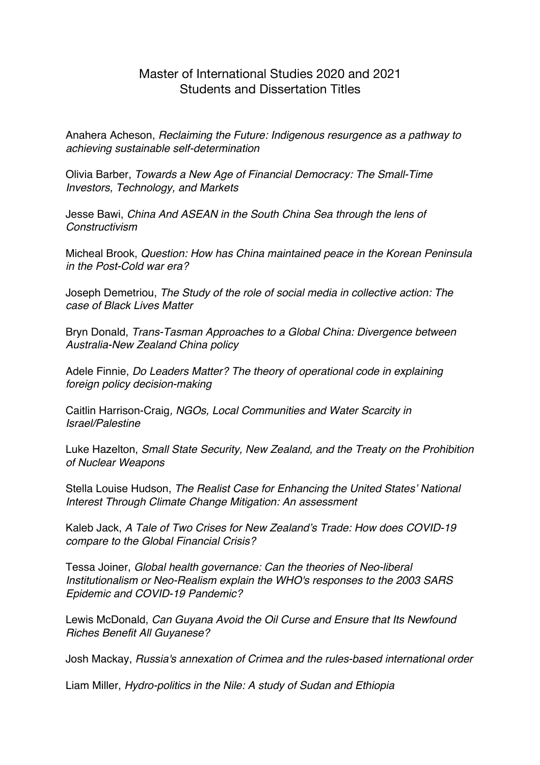## Master of International Studies 2020 and 2021 Students and Dissertation Titles

Anahera Acheson, *Reclaiming the Future: Indigenous resurgence as a pathway to achieving sustainable self-determination*

Olivia Barber, *Towards a New Age of Financial Democracy: The Small-Time Investors, Technology, and Markets*

Jesse Bawi, *China And ASEAN in the South China Sea through the lens of Constructivism*

Micheal Brook, *Question: How has China maintained peace in the Korean Peninsula in the Post-Cold war era?*

Joseph Demetriou, *The Study of the role of social media in collective action: The case of Black Lives Matter*

Bryn Donald, *Trans-Tasman Approaches to a Global China: Divergence between Australia-New Zealand China policy*

Adele Finnie, *Do Leaders Matter? The theory of operational code in explaining foreign policy decision-making*

Caitlin Harrison-Craig*, NGOs, Local Communities and Water Scarcity in Israel/Palestine*

Luke Hazelton, *Small State Security, New Zealand, and the Treaty on the Prohibition of Nuclear Weapons*

Stella Louise Hudson, *The Realist Case for Enhancing the United States' National Interest Through Climate Change Mitigation: An assessment*

Kaleb Jack, *A Tale of Two Crises for New Zealand's Trade: How does COVID-19 compare to the Global Financial Crisis?*

Tessa Joiner, *Global health governance: Can the theories of Neo-liberal Institutionalism or Neo-Realism explain the WHO's responses to the 2003 SARS Epidemic and COVID-19 Pandemic?*

Lewis McDonald, *Can Guyana Avoid the Oil Curse and Ensure that Its Newfound Riches Benefit All Guyanese?*

Josh Mackay, *Russia's annexation of Crimea and the rules-based international order*

Liam Miller, *Hydro-politics in the Nile: A study of Sudan and Ethiopia*